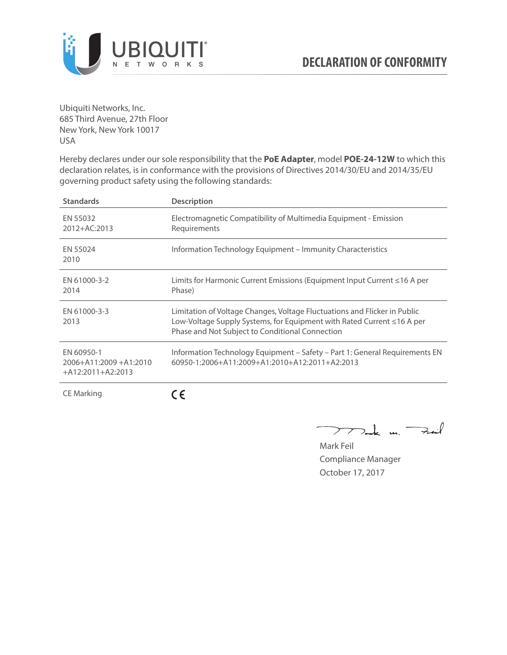

Ubiquiti Networks, Inc. 685 Third Avenue, 27th Floor New York, New York 10017 USA

Hereby declares under our sole responsibility that the **PoE Adapter**, model **POE-24-12W** to which this declaration relates, is in conformance with the provisions of Directives 2014/30/EU and 2014/35/EU governing product safety using the following standards:

| <b>Standards</b>                                                 | <b>Description</b>                                                                                                                                                                                     |
|------------------------------------------------------------------|--------------------------------------------------------------------------------------------------------------------------------------------------------------------------------------------------------|
| EN 55032<br>2012+AC:2013                                         | Electromagnetic Compatibility of Multimedia Equipment - Emission<br>Requirements                                                                                                                       |
| EN 55024<br>2010                                                 | Information Technology Equipment – Immunity Characteristics                                                                                                                                            |
| EN 61000-3-2<br>2014                                             | Limits for Harmonic Current Emissions (Equipment Input Current ≤16 A per<br>Phase)                                                                                                                     |
| EN 61000-3-3<br>2013                                             | Limitation of Voltage Changes, Voltage Fluctuations and Flicker in Public<br>Low-Voltage Supply Systems, for Equipment with Rated Current ≤16 A per<br>Phase and Not Subject to Conditional Connection |
| EN 60950-1<br>$2006 + A11:2009 + A1:2010$<br>$+A12:2011+A2:2013$ | Information Technology Equipment - Safety - Part 1: General Requirements EN<br>$60950 - 1:2006 + A11:2009 + A1:2010 + A12:2011 + A2:2013$                                                              |
| <b>CE Marking</b>                                                |                                                                                                                                                                                                        |

Dark m. Fail  $\rightarrow$ 

Mark Feil Compliance Manager October 17, 2017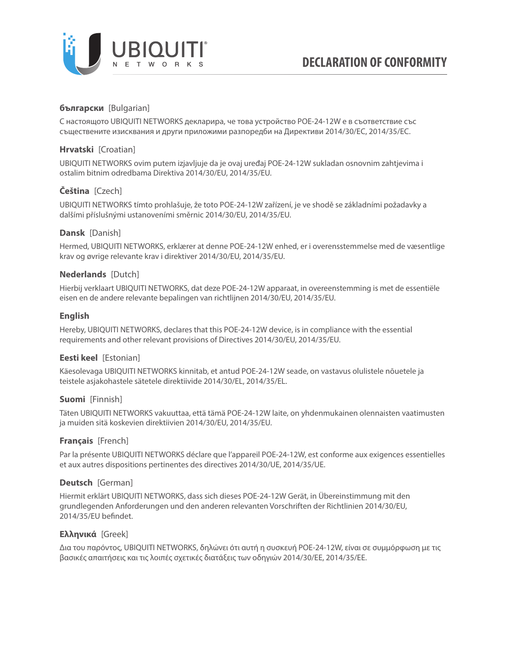

# **български** [Bulgarian]

С настоящото UBIQUITI NETWORKS декларира, че това устройство POE-24-12W е в съответствие със съществените изисквания и други приложими разпоредби на Директиви 2014/30/ЕС, 2014/35/ЕС.

## **Hrvatski** [Croatian]

UBIQUITI NETWORKS ovim putem izjavljuje da je ovaj uređaj POE-24-12W sukladan osnovnim zahtjevima i ostalim bitnim odredbama Direktiva 2014/30/EU, 2014/35/EU.

# **Čeština** [Czech]

UBIQUITI NETWORKS tímto prohlašuje, že toto POE-24-12W zařízení, je ve shodě se základními požadavky a dalšími příslušnými ustanoveními směrnic 2014/30/EU, 2014/35/EU.

## **Dansk** [Danish]

Hermed, UBIQUITI NETWORKS, erklærer at denne POE-24-12W enhed, er i overensstemmelse med de væsentlige krav og øvrige relevante krav i direktiver 2014/30/EU, 2014/35/EU.

## **Nederlands** [Dutch]

Hierbij verklaart UBIQUITI NETWORKS, dat deze POE-24-12W apparaat, in overeenstemming is met de essentiële eisen en de andere relevante bepalingen van richtlijnen 2014/30/EU, 2014/35/EU.

## **English**

Hereby, UBIQUITI NETWORKS, declares that this POE-24-12W device, is in compliance with the essential requirements and other relevant provisions of Directives 2014/30/EU, 2014/35/EU.

## **Eesti keel** [Estonian]

Käesolevaga UBIQUITI NETWORKS kinnitab, et antud POE-24-12W seade, on vastavus olulistele nõuetele ja teistele asjakohastele sätetele direktiivide 2014/30/EL, 2014/35/EL.

### **Suomi** [Finnish]

Täten UBIQUITI NETWORKS vakuuttaa, että tämä POE-24-12W laite, on yhdenmukainen olennaisten vaatimusten ja muiden sitä koskevien direktiivien 2014/30/EU, 2014/35/EU.

### **Français** [French]

Par la présente UBIQUITI NETWORKS déclare que l'appareil POE-24-12W, est conforme aux exigences essentielles et aux autres dispositions pertinentes des directives 2014/30/UE, 2014/35/UE.

### **Deutsch** [German]

Hiermit erklärt UBIQUITI NETWORKS, dass sich dieses POE-24-12W Gerät, in Übereinstimmung mit den grundlegenden Anforderungen und den anderen relevanten Vorschriften der Richtlinien 2014/30/EU, 2014/35/EU befindet.

### **Ελληνικά** [Greek]

Δια του παρόντος, UBIQUITI NETWORKS, δηλώνει ότι αυτή η συσκευή POE-24-12W, είναι σε συμμόρφωση με τις βασικές απαιτήσεις και τις λοιπές σχετικές διατάξεις των οδηγιών 2014/30/EE, 2014/35/EE.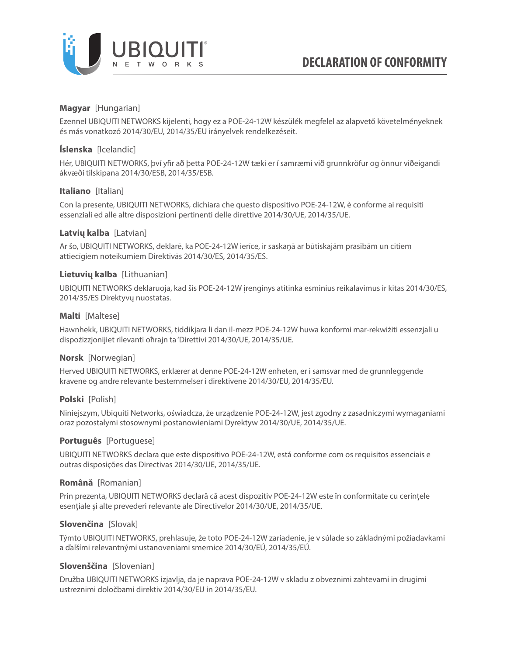

## **Magyar** [Hungarian]

Ezennel UBIQUITI NETWORKS kijelenti, hogy ez a POE-24-12W készülék megfelel az alapvető követelményeknek és más vonatkozó 2014/30/EU, 2014/35/EU irányelvek rendelkezéseit.

## **Íslenska** [Icelandic]

Hér, UBIQUITI NETWORKS, því yfir að þetta POE-24-12W tæki er í samræmi við grunnkröfur og önnur viðeigandi ákvæði tilskipana 2014/30/ESB, 2014/35/ESB.

## **Italiano** [Italian]

Con la presente, UBIQUITI NETWORKS, dichiara che questo dispositivo POE-24-12W, è conforme ai requisiti essenziali ed alle altre disposizioni pertinenti delle direttive 2014/30/UE, 2014/35/UE.

## **Latvių kalba** [Latvian]

Ar šo, UBIQUITI NETWORKS, deklarē, ka POE-24-12W ierīce, ir saskaņā ar būtiskajām prasībām un citiem attiecīgiem noteikumiem Direktīvās 2014/30/ES, 2014/35/ES.

### **Lietuvių kalba** [Lithuanian]

UBIQUITI NETWORKS deklaruoja, kad šis POE-24-12W įrenginys atitinka esminius reikalavimus ir kitas 2014/30/ES, 2014/35/ES Direktyvų nuostatas.

## **Malti** [Maltese]

Hawnhekk, UBIQUITI NETWORKS, tiddikjara li dan il-mezz POE-24-12W huwa konformi mar-rekwiżiti essenzjali u dispożizzjonijiet rilevanti oħrajn ta 'Direttivi 2014/30/UE, 2014/35/UE.

### **Norsk** [Norwegian]

Herved UBIQUITI NETWORKS, erklærer at denne POE-24-12W enheten, er i samsvar med de grunnleggende kravene og andre relevante bestemmelser i direktivene 2014/30/EU, 2014/35/EU.

### **Polski** [Polish]

Niniejszym, Ubiquiti Networks, oświadcza, że urządzenie POE-24-12W, jest zgodny z zasadniczymi wymaganiami oraz pozostałymi stosownymi postanowieniami Dyrektyw 2014/30/UE, 2014/35/UE.

### **Português** [Portuguese]

UBIQUITI NETWORKS declara que este dispositivo POE-24-12W, está conforme com os requisitos essenciais e outras disposições das Directivas 2014/30/UE, 2014/35/UE.

### **Română** [Romanian]

Prin prezenta, UBIQUITI NETWORKS declară că acest dispozitiv POE-24-12W este în conformitate cu cerințele esențiale și alte prevederi relevante ale Directivelor 2014/30/UE, 2014/35/UE.

### **Slovenčina** [Slovak]

Týmto UBIQUITI NETWORKS, prehlasuje, že toto POE-24-12W zariadenie, je v súlade so základnými požiadavkami a ďalšími relevantnými ustanoveniami smernice 2014/30/EÚ, 2014/35/EÚ.

### **Slovenščina** [Slovenian]

Družba UBIQUITI NETWORKS izjavlja, da je naprava POE-24-12W v skladu z obveznimi zahtevami in drugimi ustreznimi določbami direktiv 2014/30/EU in 2014/35/EU.